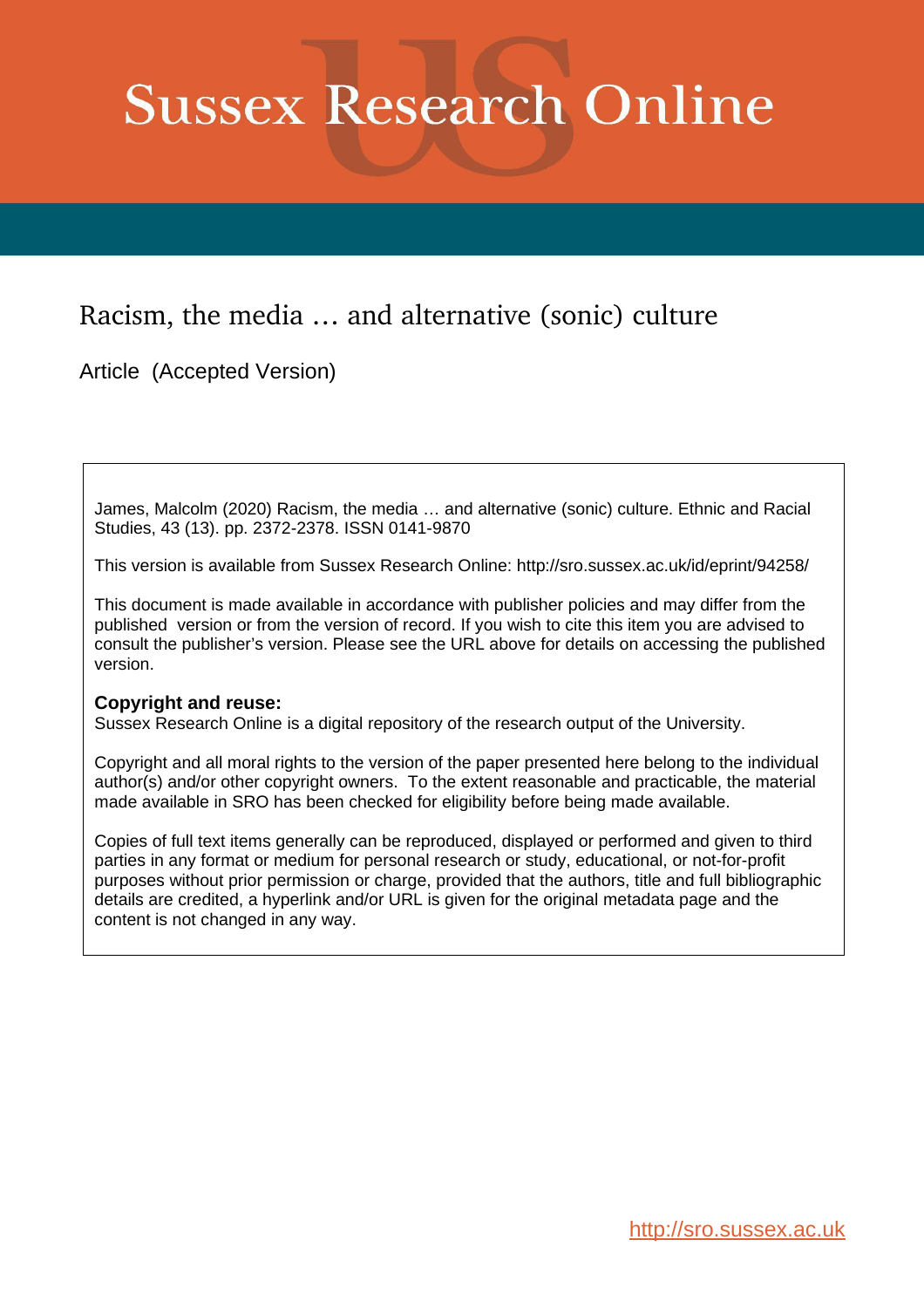# **Sussex Research Online**

# Racism, the media … and alternative (sonic) culture

Article (Accepted Version)

James, Malcolm (2020) Racism, the media … and alternative (sonic) culture. Ethnic and Racial Studies, 43 (13). pp. 2372-2378. ISSN 0141-9870

This version is available from Sussex Research Online: http://sro.sussex.ac.uk/id/eprint/94258/

This document is made available in accordance with publisher policies and may differ from the published version or from the version of record. If you wish to cite this item you are advised to consult the publisher's version. Please see the URL above for details on accessing the published version.

#### **Copyright and reuse:**

Sussex Research Online is a digital repository of the research output of the University.

Copyright and all moral rights to the version of the paper presented here belong to the individual author(s) and/or other copyright owners. To the extent reasonable and practicable, the material made available in SRO has been checked for eligibility before being made available.

Copies of full text items generally can be reproduced, displayed or performed and given to third parties in any format or medium for personal research or study, educational, or not-for-profit purposes without prior permission or charge, provided that the authors, title and full bibliographic details are credited, a hyperlink and/or URL is given for the original metadata page and the content is not changed in any way.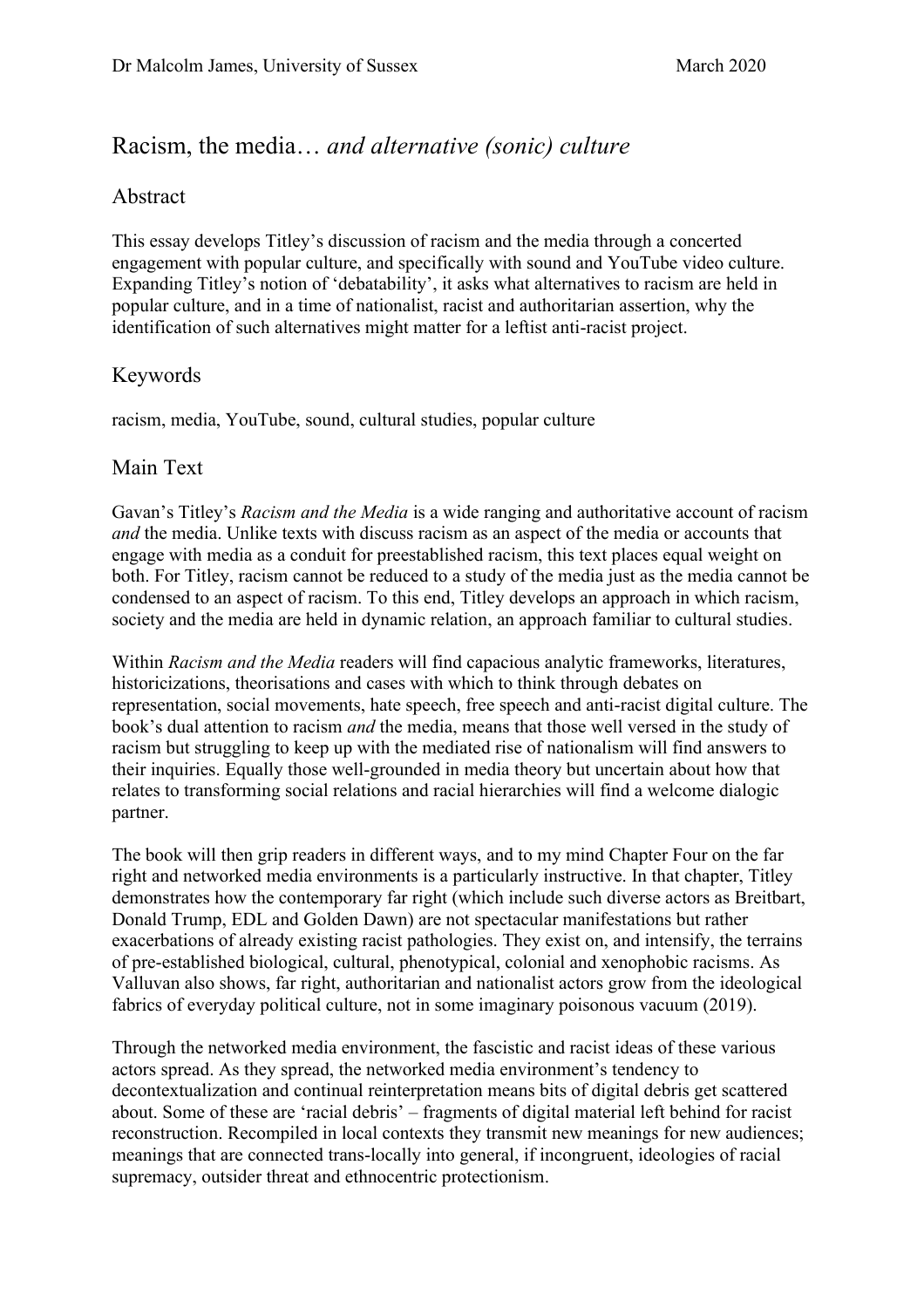### Racism, the media… *and alternative (sonic) culture*

#### Abstract

This essay develops Titley's discussion of racism and the media through a concerted engagement with popular culture, and specifically with sound and YouTube video culture. Expanding Titley's notion of 'debatability', it asks what alternatives to racism are held in popular culture, and in a time of nationalist, racist and authoritarian assertion, why the identification of such alternatives might matter for a leftist anti-racist project.

#### Keywords

racism, media, YouTube, sound, cultural studies, popular culture

#### Main Text

Gavan's Titley's *Racism and the Media* is a wide ranging and authoritative account of racism *and* the media. Unlike texts with discuss racism as an aspect of the media or accounts that engage with media as a conduit for preestablished racism, this text places equal weight on both. For Titley, racism cannot be reduced to a study of the media just as the media cannot be condensed to an aspect of racism. To this end, Titley develops an approach in which racism, society and the media are held in dynamic relation, an approach familiar to cultural studies.

Within *Racism and the Media* readers will find capacious analytic frameworks, literatures, historicizations, theorisations and cases with which to think through debates on representation, social movements, hate speech, free speech and anti-racist digital culture. The book's dual attention to racism *and* the media, means that those well versed in the study of racism but struggling to keep up with the mediated rise of nationalism will find answers to their inquiries. Equally those well-grounded in media theory but uncertain about how that relates to transforming social relations and racial hierarchies will find a welcome dialogic partner.

The book will then grip readers in different ways, and to my mind Chapter Four on the far right and networked media environments is a particularly instructive. In that chapter, Titley demonstrates how the contemporary far right (which include such diverse actors as Breitbart, Donald Trump, EDL and Golden Dawn) are not spectacular manifestations but rather exacerbations of already existing racist pathologies. They exist on, and intensify, the terrains of pre-established biological, cultural, phenotypical, colonial and xenophobic racisms. As Valluvan also shows, far right, authoritarian and nationalist actors grow from the ideological fabrics of everyday political culture, not in some imaginary poisonous vacuum (2019).

Through the networked media environment, the fascistic and racist ideas of these various actors spread. As they spread, the networked media environment's tendency to decontextualization and continual reinterpretation means bits of digital debris get scattered about. Some of these are 'racial debris' – fragments of digital material left behind for racist reconstruction. Recompiled in local contexts they transmit new meanings for new audiences; meanings that are connected trans-locally into general, if incongruent, ideologies of racial supremacy, outsider threat and ethnocentric protectionism.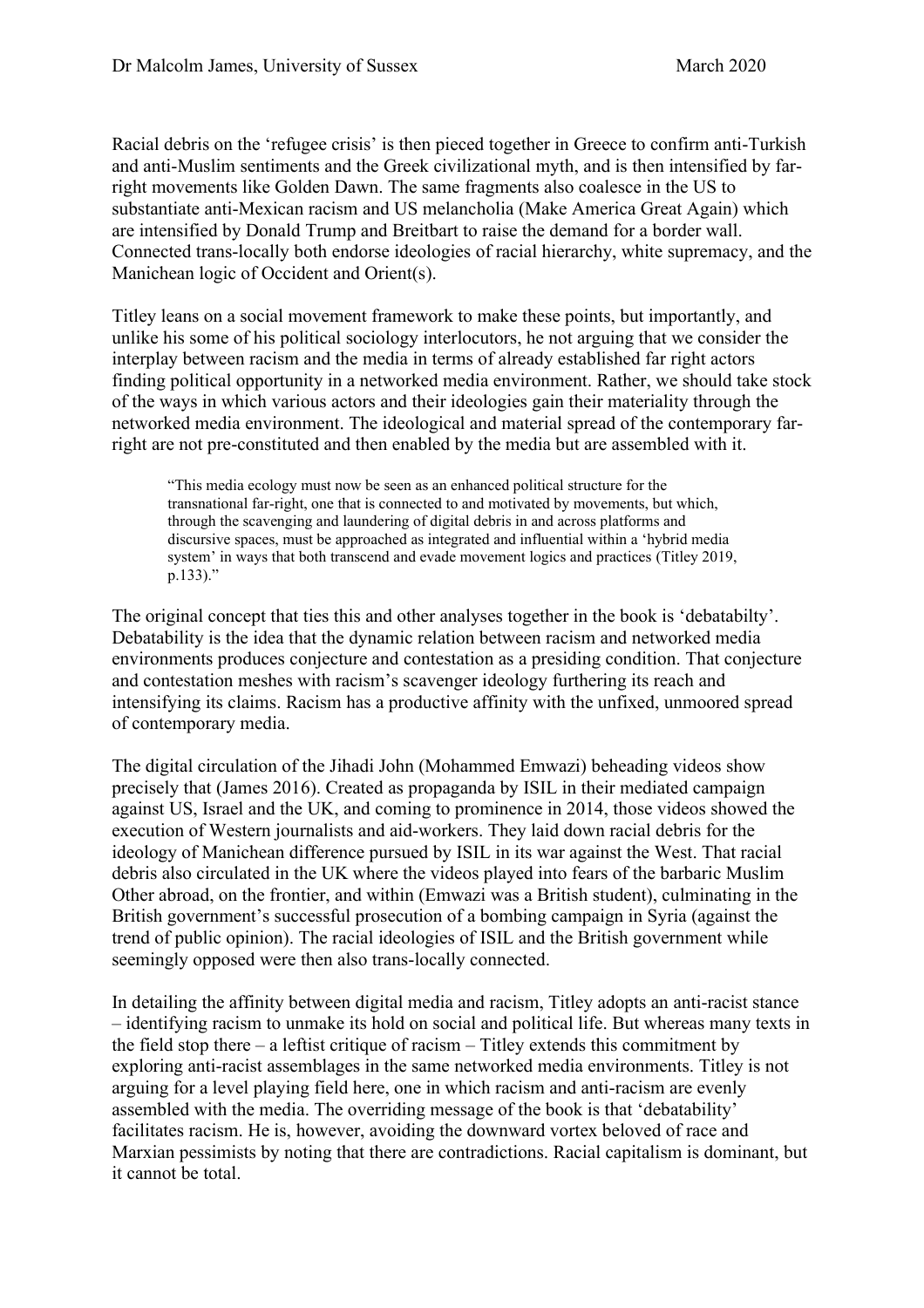Racial debris on the 'refugee crisis' is then pieced together in Greece to confirm anti-Turkish and anti-Muslim sentiments and the Greek civilizational myth, and is then intensified by farright movements like Golden Dawn. The same fragments also coalesce in the US to substantiate anti-Mexican racism and US melancholia (Make America Great Again) which are intensified by Donald Trump and Breitbart to raise the demand for a border wall. Connected trans-locally both endorse ideologies of racial hierarchy, white supremacy, and the Manichean logic of Occident and Orient(s).

Titley leans on a social movement framework to make these points, but importantly, and unlike his some of his political sociology interlocutors, he not arguing that we consider the interplay between racism and the media in terms of already established far right actors finding political opportunity in a networked media environment. Rather, we should take stock of the ways in which various actors and their ideologies gain their materiality through the networked media environment. The ideological and material spread of the contemporary farright are not pre-constituted and then enabled by the media but are assembled with it.

"This media ecology must now be seen as an enhanced political structure for the transnational far-right, one that is connected to and motivated by movements, but which, through the scavenging and laundering of digital debris in and across platforms and discursive spaces, must be approached as integrated and influential within a 'hybrid media system' in ways that both transcend and evade movement logics and practices (Titley 2019, p.133)."

The original concept that ties this and other analyses together in the book is 'debatabilty'. Debatability is the idea that the dynamic relation between racism and networked media environments produces conjecture and contestation as a presiding condition. That conjecture and contestation meshes with racism's scavenger ideology furthering its reach and intensifying its claims. Racism has a productive affinity with the unfixed, unmoored spread of contemporary media.

The digital circulation of the Jihadi John (Mohammed Emwazi) beheading videos show precisely that (James 2016). Created as propaganda by ISIL in their mediated campaign against US, Israel and the UK, and coming to prominence in 2014, those videos showed the execution of Western journalists and aid-workers. They laid down racial debris for the ideology of Manichean difference pursued by ISIL in its war against the West. That racial debris also circulated in the UK where the videos played into fears of the barbaric Muslim Other abroad, on the frontier, and within (Emwazi was a British student), culminating in the British government's successful prosecution of a bombing campaign in Syria (against the trend of public opinion). The racial ideologies of ISIL and the British government while seemingly opposed were then also trans-locally connected.

In detailing the affinity between digital media and racism, Titley adopts an anti-racist stance – identifying racism to unmake its hold on social and political life. But whereas many texts in the field stop there – a leftist critique of racism – Titley extends this commitment by exploring anti-racist assemblages in the same networked media environments. Titley is not arguing for a level playing field here, one in which racism and anti-racism are evenly assembled with the media. The overriding message of the book is that 'debatability' facilitates racism. He is, however, avoiding the downward vortex beloved of race and Marxian pessimists by noting that there are contradictions. Racial capitalism is dominant, but it cannot be total.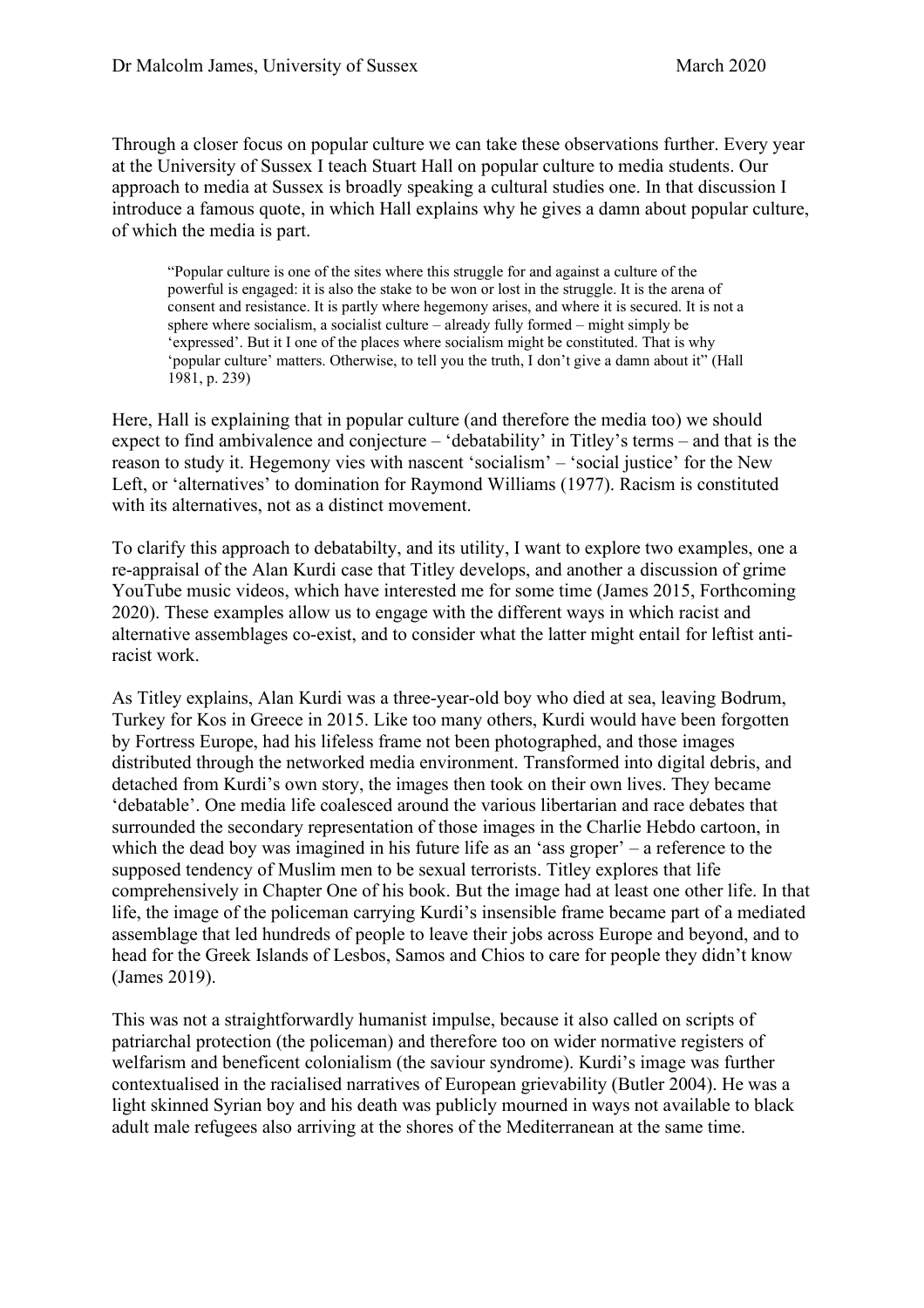Through a closer focus on popular culture we can take these observations further. Every year at the University of Sussex I teach Stuart Hall on popular culture to media students. Our approach to media at Sussex is broadly speaking a cultural studies one. In that discussion I introduce a famous quote, in which Hall explains why he gives a damn about popular culture, of which the media is part.

"Popular culture is one of the sites where this struggle for and against a culture of the powerful is engaged: it is also the stake to be won or lost in the struggle. It is the arena of consent and resistance. It is partly where hegemony arises, and where it is secured. It is not a sphere where socialism, a socialist culture – already fully formed – might simply be 'expressed'. But it I one of the places where socialism might be constituted. That is why 'popular culture' matters. Otherwise, to tell you the truth, I don't give a damn about it" (Hall 1981, p. 239)

Here, Hall is explaining that in popular culture (and therefore the media too) we should expect to find ambivalence and conjecture – 'debatability' in Titley's terms – and that is the reason to study it. Hegemony vies with nascent 'socialism' – 'social justice' for the New Left, or 'alternatives' to domination for Raymond Williams (1977). Racism is constituted with its alternatives, not as a distinct movement.

To clarify this approach to debatabilty, and its utility, I want to explore two examples, one a re-appraisal of the Alan Kurdi case that Titley develops, and another a discussion of grime YouTube music videos, which have interested me for some time (James 2015, Forthcoming 2020). These examples allow us to engage with the different ways in which racist and alternative assemblages co-exist, and to consider what the latter might entail for leftist antiracist work.

As Titley explains, Alan Kurdi was a three-year-old boy who died at sea, leaving Bodrum, Turkey for Kos in Greece in 2015. Like too many others, Kurdi would have been forgotten by Fortress Europe, had his lifeless frame not been photographed, and those images distributed through the networked media environment. Transformed into digital debris, and detached from Kurdi's own story, the images then took on their own lives. They became 'debatable'. One media life coalesced around the various libertarian and race debates that surrounded the secondary representation of those images in the Charlie Hebdo cartoon, in which the dead boy was imagined in his future life as an 'ass groper' – a reference to the supposed tendency of Muslim men to be sexual terrorists. Titley explores that life comprehensively in Chapter One of his book. But the image had at least one other life. In that life, the image of the policeman carrying Kurdi's insensible frame became part of a mediated assemblage that led hundreds of people to leave their jobs across Europe and beyond, and to head for the Greek Islands of Lesbos, Samos and Chios to care for people they didn't know (James 2019).

This was not a straightforwardly humanist impulse, because it also called on scripts of patriarchal protection (the policeman) and therefore too on wider normative registers of welfarism and beneficent colonialism (the saviour syndrome). Kurdi's image was further contextualised in the racialised narratives of European grievability (Butler 2004). He was a light skinned Syrian boy and his death was publicly mourned in ways not available to black adult male refugees also arriving at the shores of the Mediterranean at the same time.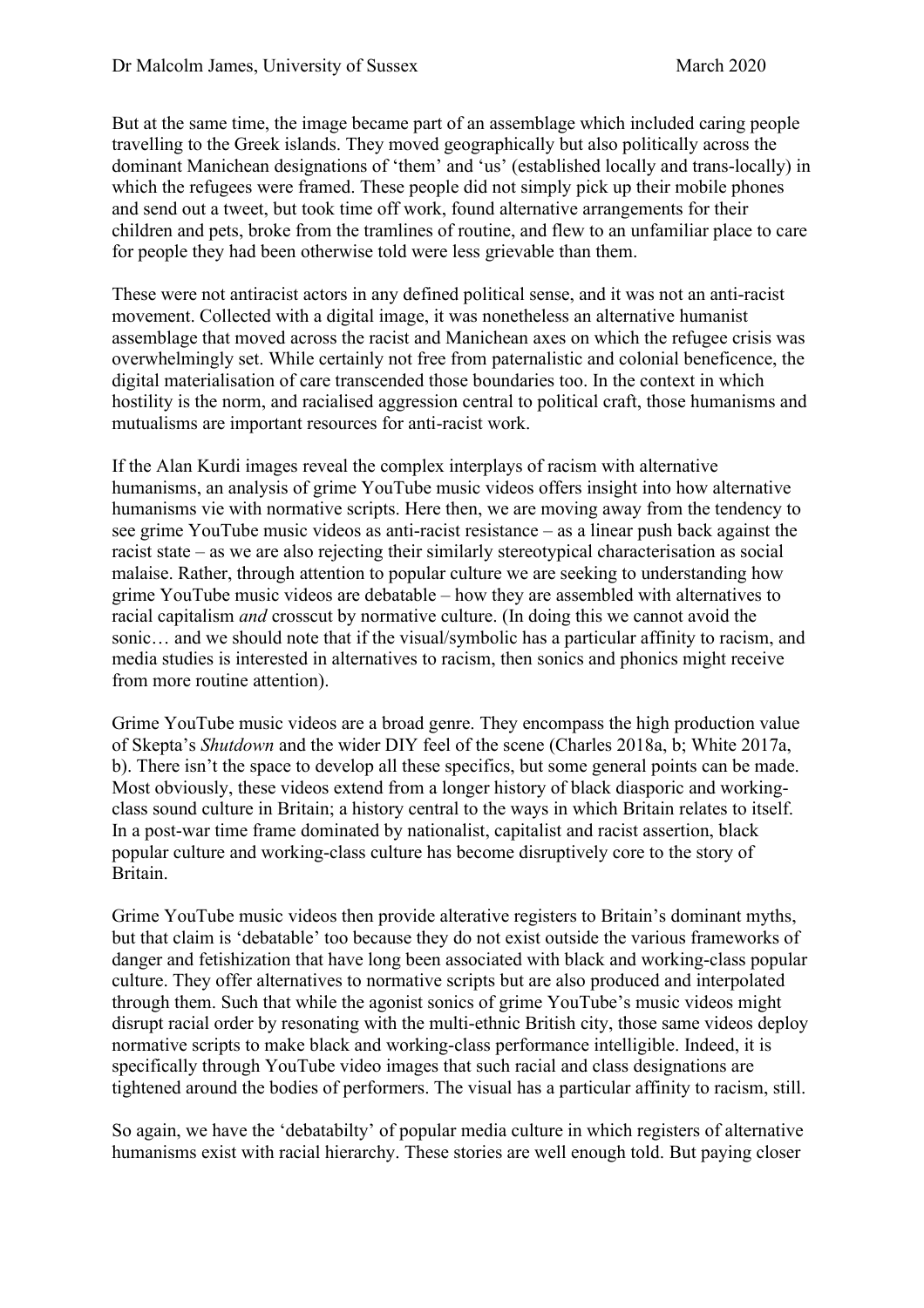But at the same time, the image became part of an assemblage which included caring people travelling to the Greek islands. They moved geographically but also politically across the dominant Manichean designations of 'them' and 'us' (established locally and trans-locally) in which the refugees were framed. These people did not simply pick up their mobile phones and send out a tweet, but took time off work, found alternative arrangements for their children and pets, broke from the tramlines of routine, and flew to an unfamiliar place to care for people they had been otherwise told were less grievable than them.

These were not antiracist actors in any defined political sense, and it was not an anti-racist movement. Collected with a digital image, it was nonetheless an alternative humanist assemblage that moved across the racist and Manichean axes on which the refugee crisis was overwhelmingly set. While certainly not free from paternalistic and colonial beneficence, the digital materialisation of care transcended those boundaries too. In the context in which hostility is the norm, and racialised aggression central to political craft, those humanisms and mutualisms are important resources for anti-racist work.

If the Alan Kurdi images reveal the complex interplays of racism with alternative humanisms, an analysis of grime YouTube music videos offers insight into how alternative humanisms vie with normative scripts. Here then, we are moving away from the tendency to see grime YouTube music videos as anti-racist resistance – as a linear push back against the racist state – as we are also rejecting their similarly stereotypical characterisation as social malaise. Rather, through attention to popular culture we are seeking to understanding how grime YouTube music videos are debatable – how they are assembled with alternatives to racial capitalism *and* crosscut by normative culture. (In doing this we cannot avoid the sonic… and we should note that if the visual/symbolic has a particular affinity to racism, and media studies is interested in alternatives to racism, then sonics and phonics might receive from more routine attention).

Grime YouTube music videos are a broad genre. They encompass the high production value of Skepta's *Shutdown* and the wider DIY feel of the scene (Charles 2018a, b; White 2017a, b). There isn't the space to develop all these specifics, but some general points can be made. Most obviously, these videos extend from a longer history of black diasporic and workingclass sound culture in Britain; a history central to the ways in which Britain relates to itself. In a post-war time frame dominated by nationalist, capitalist and racist assertion, black popular culture and working-class culture has become disruptively core to the story of Britain.

Grime YouTube music videos then provide alterative registers to Britain's dominant myths, but that claim is 'debatable' too because they do not exist outside the various frameworks of danger and fetishization that have long been associated with black and working-class popular culture. They offer alternatives to normative scripts but are also produced and interpolated through them. Such that while the agonist sonics of grime YouTube's music videos might disrupt racial order by resonating with the multi-ethnic British city, those same videos deploy normative scripts to make black and working-class performance intelligible. Indeed, it is specifically through YouTube video images that such racial and class designations are tightened around the bodies of performers. The visual has a particular affinity to racism, still.

So again, we have the 'debatabilty' of popular media culture in which registers of alternative humanisms exist with racial hierarchy. These stories are well enough told. But paying closer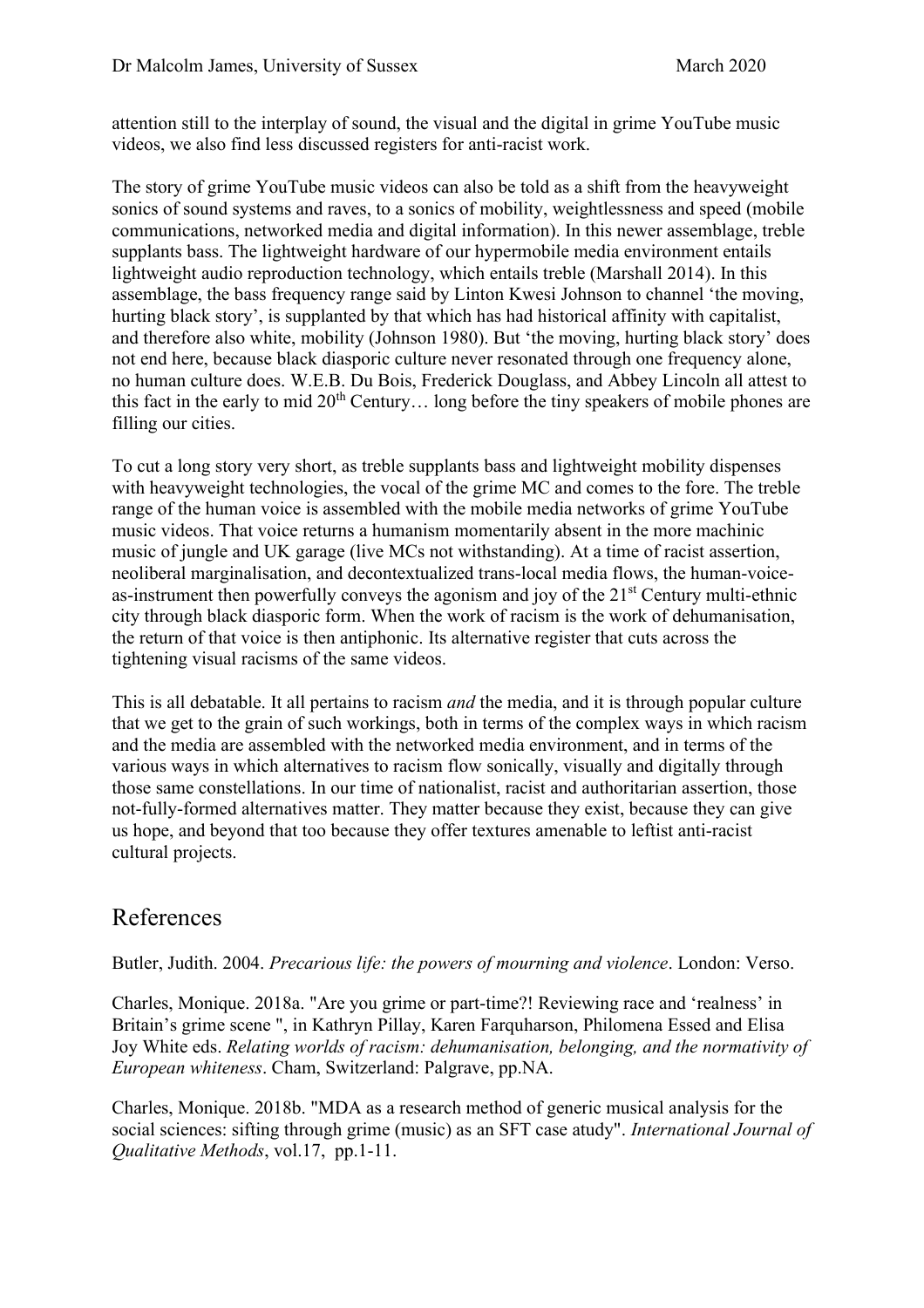attention still to the interplay of sound, the visual and the digital in grime YouTube music videos, we also find less discussed registers for anti-racist work.

The story of grime YouTube music videos can also be told as a shift from the heavyweight sonics of sound systems and raves, to a sonics of mobility, weightlessness and speed (mobile communications, networked media and digital information). In this newer assemblage, treble supplants bass. The lightweight hardware of our hypermobile media environment entails lightweight audio reproduction technology, which entails treble (Marshall 2014). In this assemblage, the bass frequency range said by Linton Kwesi Johnson to channel 'the moving, hurting black story', is supplanted by that which has had historical affinity with capitalist, and therefore also white, mobility (Johnson 1980). But 'the moving, hurting black story' does not end here, because black diasporic culture never resonated through one frequency alone, no human culture does. W.E.B. Du Bois, Frederick Douglass, and Abbey Lincoln all attest to this fact in the early to mid  $20<sup>th</sup>$  Century... long before the tiny speakers of mobile phones are filling our cities.

To cut a long story very short, as treble supplants bass and lightweight mobility dispenses with heavyweight technologies, the vocal of the grime MC and comes to the fore. The treble range of the human voice is assembled with the mobile media networks of grime YouTube music videos. That voice returns a humanism momentarily absent in the more machinic music of jungle and UK garage (live MCs not withstanding). At a time of racist assertion, neoliberal marginalisation, and decontextualized trans-local media flows, the human-voiceas-instrument then powerfully conveys the agonism and joy of the 21<sup>st</sup> Century multi-ethnic city through black diasporic form. When the work of racism is the work of dehumanisation, the return of that voice is then antiphonic. Its alternative register that cuts across the tightening visual racisms of the same videos.

This is all debatable. It all pertains to racism *and* the media, and it is through popular culture that we get to the grain of such workings, both in terms of the complex ways in which racism and the media are assembled with the networked media environment, and in terms of the various ways in which alternatives to racism flow sonically, visually and digitally through those same constellations. In our time of nationalist, racist and authoritarian assertion, those not-fully-formed alternatives matter. They matter because they exist, because they can give us hope, and beyond that too because they offer textures amenable to leftist anti-racist cultural projects.

## References

Butler, Judith. 2004. *Precarious life: the powers of mourning and violence*. London: Verso.

Charles, Monique. 2018a. "Are you grime or part-time?! Reviewing race and 'realness' in Britain's grime scene ", in Kathryn Pillay, Karen Farquharson, Philomena Essed and Elisa Joy White eds. *Relating worlds of racism: dehumanisation, belonging, and the normativity of European whiteness*. Cham, Switzerland: Palgrave, pp.NA.

Charles, Monique. 2018b. "MDA as a research method of generic musical analysis for the social sciences: sifting through grime (music) as an SFT case atudy". *International Journal of Qualitative Methods*, vol.17, pp.1-11.